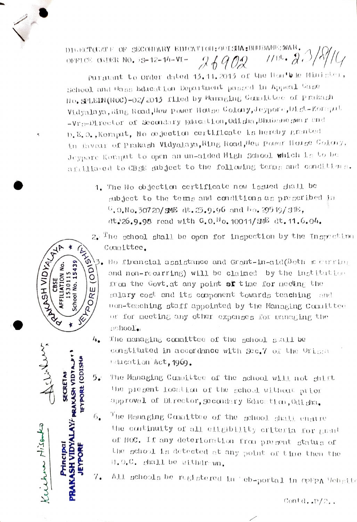DIGECTORATE OF SECONDARY EDUCATION: ODISHA: BHUBA  $26902$   $1100.207$ OFFICE ORDER NO. 5S-12-14-VI-

Purguant to Order dated 13.11.2013 of the Hon't le Minigter, school and Hans Education Department passed in Appeal Case No. SPLEIN(NOC)-02/2013 filed by Managing Committee of prakagh Vidyalaya, Ring Road, Hew power House Colony, Jeypore, Dist-Koragut  $-VT$  s-Director of Secondary Bducation, Odisha show Bhubane swar and D.E.O., Koraput, No objection certificate is hereby granted in favour of Prakash Vidyalaya, Ring Road, Hey Power House Colony, Jeypore Koraput to open an un-aided High School which is to be afiiliated to CBSE abject to the following terms and conditions.

- 1. The Ho objection certificate now issued shall be gubject to the terms and conditions as prescribed in  $^{G}$ ,0.No.30720/sME dt.23.9,96 and  $^{H}$ o.29549/a形, dt:26.9.98 read with G.O.<sup>H</sup>o.10011/\$那 dt.11.6.04.
- $2^{\sqrt{10}}$  a school shall be open for inspection by the Inspection Committee.
- $\mathcal{E}_{\mathbf{A}}$ No financial assistance and Grant-in-aid(Both c curring and non-recurring) will be claimed by the institution from the Govt at any point of time for meding the salary cost and its component towards teaching and uon-teaching staff appointed by the Managing Committee or for meeting any other expenses for managing the school'.
- $4.$ The managing committee of the school sail be constituted in accordance with Sec.7 of the Orism bducation Act, 1969.
- Subscriber **IEYPORE (CDISH) LAY' BRAKASH VIDTALI SECRETAR**  $5.1$  $6_{\bullet}$ Kuiten misenta **ASH VIDYAL** Principal EYPOR  $7.$

RANGEH VIDYA,

ັດ

**VENDORE** 

iobj

15439

53011 chool No.

k

- The Managing Cannittee of the school will not shift the present location of the school without prior approvel of Director, gecondary Education, Odigha.
- The Managing Cammittee of the gehool shall engine the continuity of all cligibility criteria for grant of NOC. If any deterioration from present status of the school is detected at any point of time then the H.O.C. ghall be withdrawn.
- All schools be registered in web-portal in OPEPA Website

Contd.. $P/2$ .